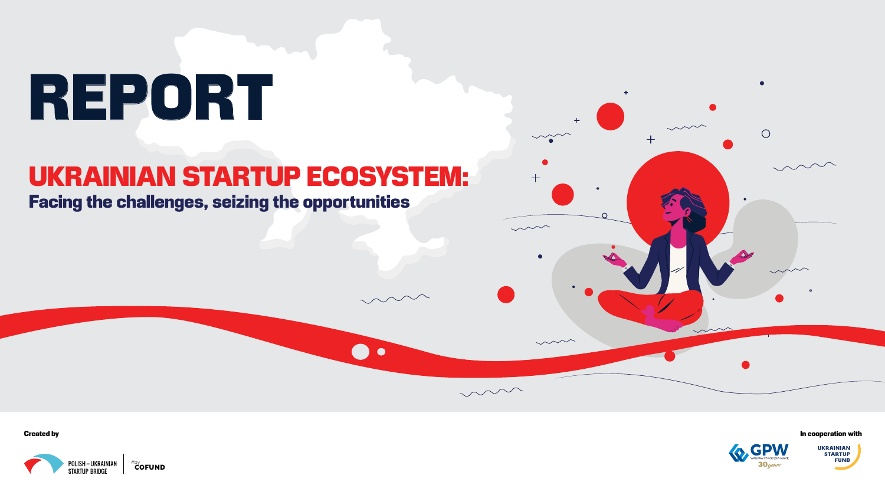# REPORT

### UKRAINIAN STARTUP ECOSYSTEM: Facing the challenges, seizing the opportunities

 $\bullet$ 

Created by





In cooperation with



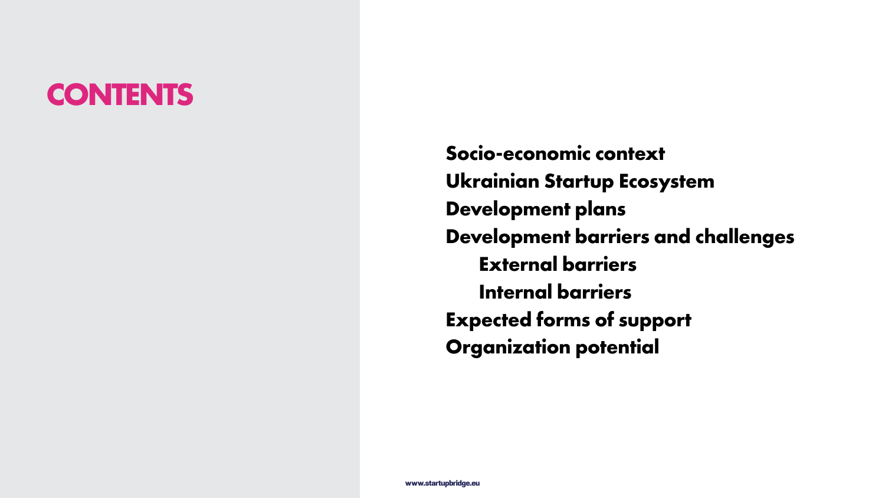

**Socio-economic context Ukrainian Startup Ecosystem Development plans Development barriers and challenges External barriers Internal barriers Expected forms of support Organization potential**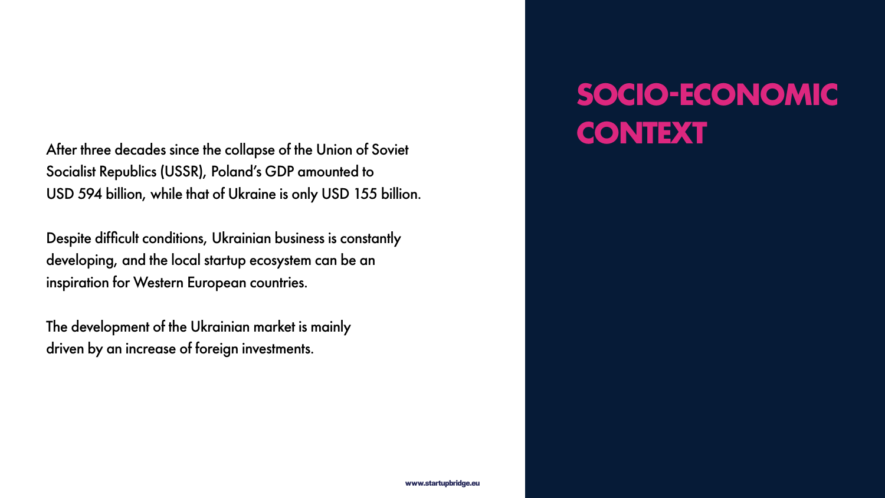www.startupbridge.eu



# **SOCIO-ECONOMIC**

**CONTEXT** After three decades since the collapse of the Union of Soviet Socialist Republics (USSR), Poland's GDP amounted to USD 594 billion, while that of Ukraine is only USD 155 billion.

Despite difficult conditions, Ukrainian business is constantly developing, and the local startup ecosystem can be an inspiration for Western European countries.

The development of the Ukrainian market is mainly driven by an increase of foreign investments.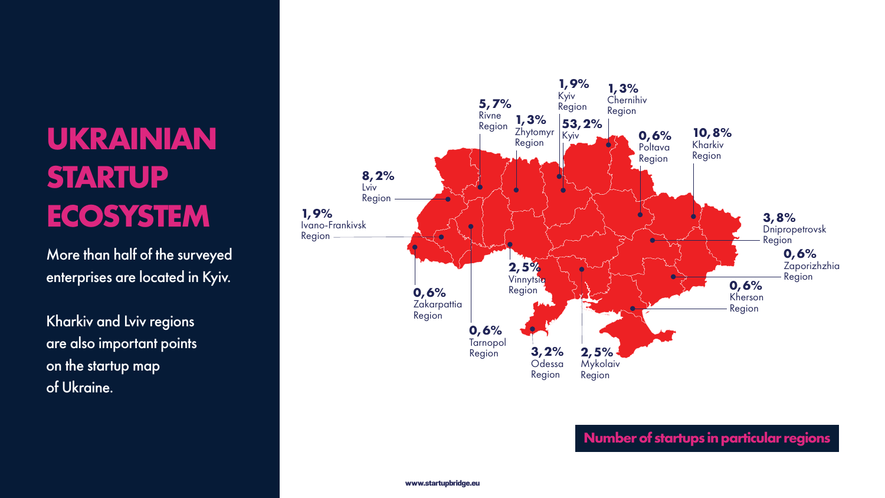

**8,2%** Lviv Region **1,9%** Ivano-Frankivsk Region

## **UKRAINIAN STARTUP ECOSYSTEM**

More than half of the surveyed enterprises are located in Kyiv.

Kharkiv and Lviv regions are also important points on the startup map of Ukraine.

#### **Number of startups in particular regions**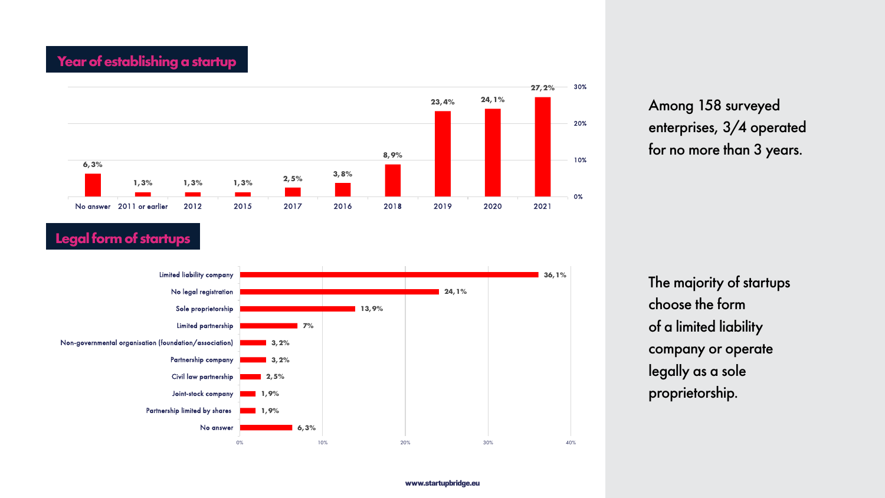#### **Year of establishing a startup**

#### **Legal form of startups**

Among 158 surveyed enterprises, 3/4 operated for no more than 3 years.

The majority of startups choose the form of a limited liability company or operate legally as a sole proprietorship.





**36,1% 24,1%**

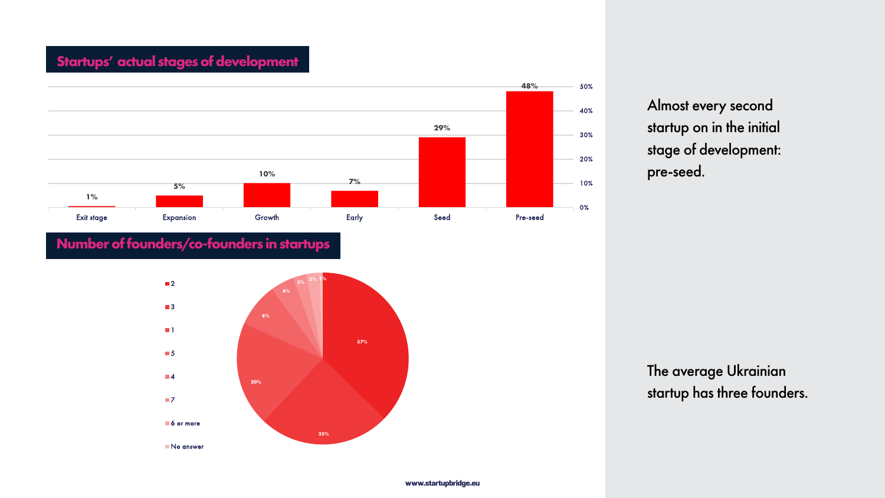

#### **Startups' actual stages of development**

#### **Number of founders/co-founders in startups**

Almost every second startup on in the initial stage of development: pre-seed.

The average Ukrainian startup has three founders.



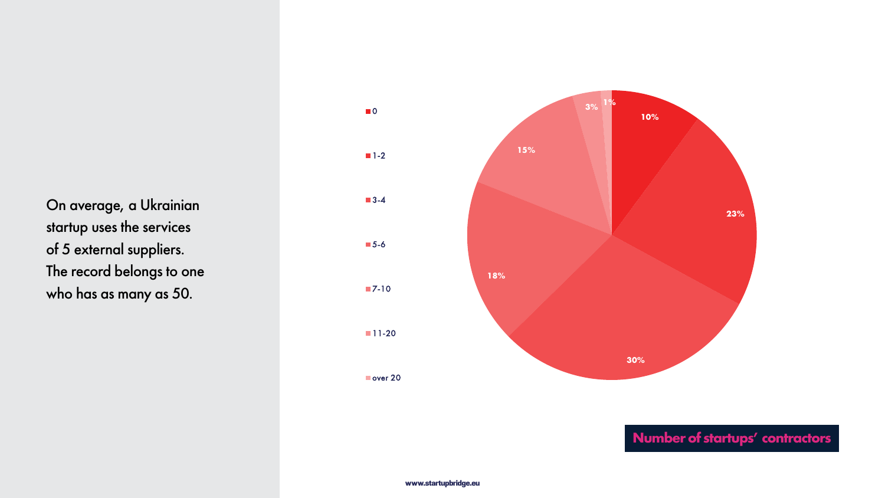



On average, a Ukrainian startup uses the services of 5 external suppliers. The record belongs to one who has as many as 50.

**0**  $\blacksquare$  1-2 **3-4** 5-6 **7-10 11-20** 

Over 20

#### **Number of startups' contractors**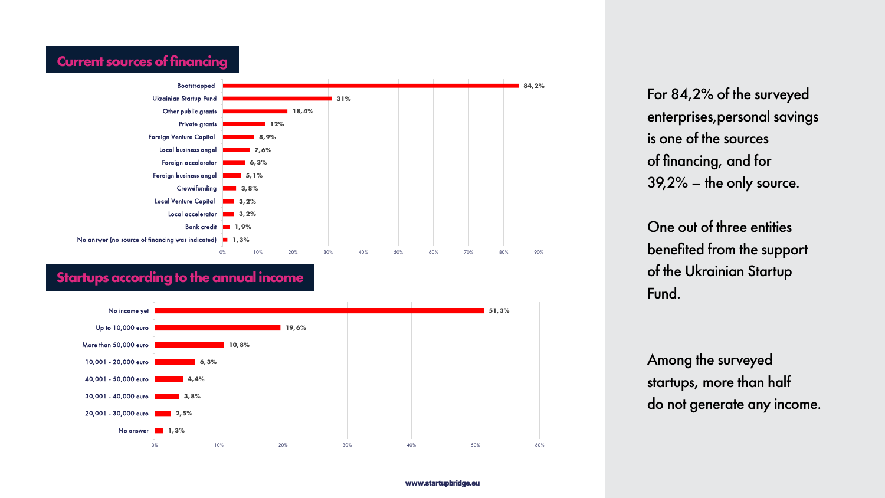

One out of three entities benefited from the support of the Ukrainian Startup Fund.

For 84,2% of the surveyed enterprises,personal savings is one of the sources of financing, and for 39,2% – the only source.



Among the surveyed startups, more than half do not generate any income.

#### **Current sources of financing**

#### **Startups according to the annual income**

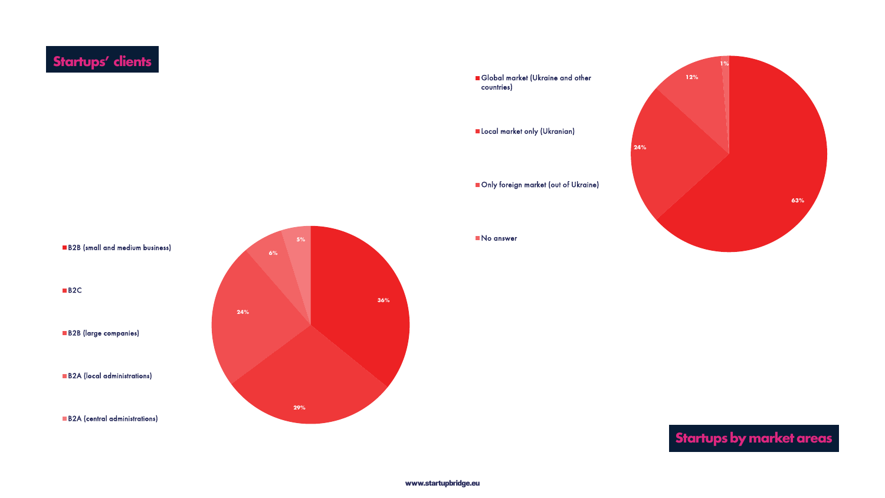

### **Startups by market areas**

### **Startups' clients**

#### B2B (small and medium business)

B<sub>2</sub>C

B2B (large companies)

**B2A** (local administrations)

**B2A** (central administrations)







**Local market only (Ukranian)** 

**Only foreign market (out of Ukraine)** 

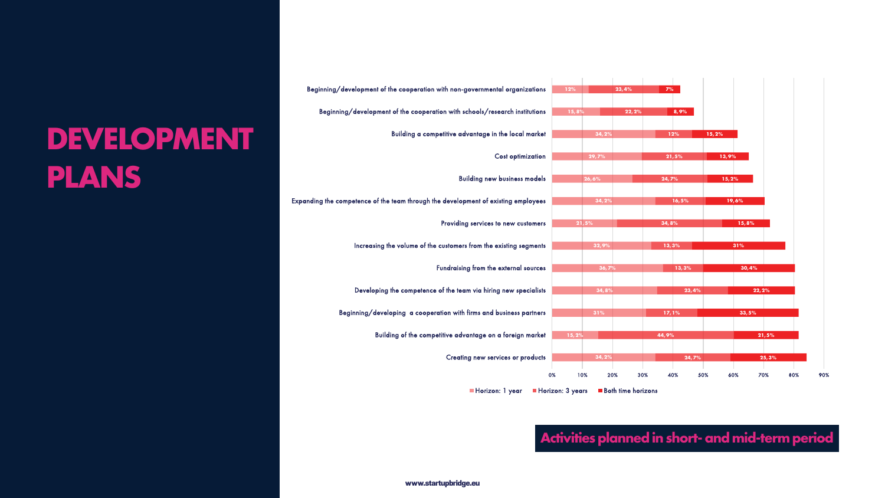



Creating new services or products

Building of the competitive advantage on a foreign market Beginning/developing a cooperation with firms and business partners Developing the competence of the team via hiring new specialists Fundraising from the external sources Increasing the volume of the customers from the existing segments Providing services to new customers Expanding the competence of the team through the development of existing employees Building new business models Cost optimization Building a competitive advantage in the local market Beginning/development of the cooperation with schools/research institutions Beginning/development of the cooperation with non-governmental organizations



### **DEVELOPMENT PLANS**

#### **Activities planned in short- and mid-term period**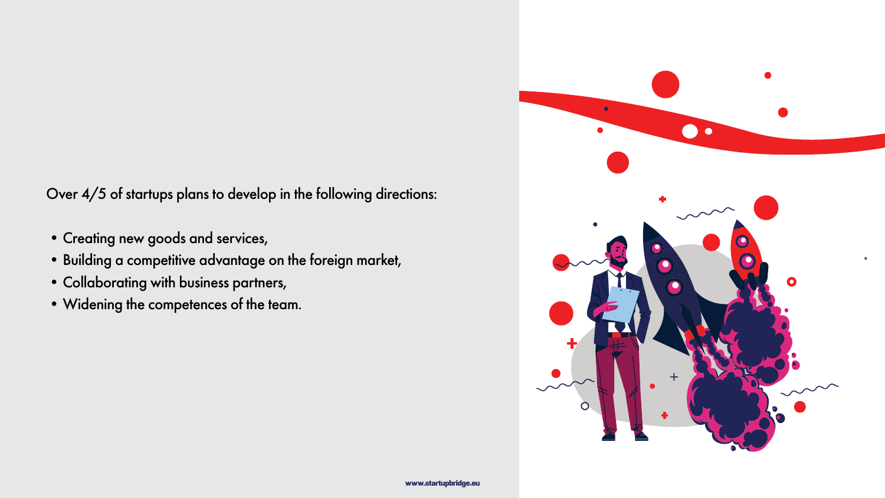Over 4/5 of startups plans to develop in the following directions:

- •Creating new goods and services,
- •Building a competitive advantage on the foreign market,
- •Collaborating with business partners,
- •Widening the competences of the team.

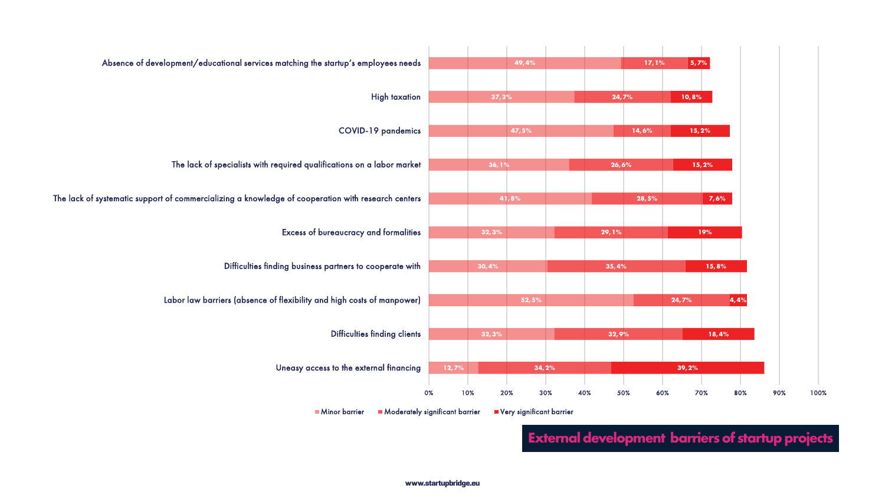

Uneasy access to the external financing

**Minor barrier** Moderately significant barrier Filtery significant barrier

Difficulties finding clients

Labor law barriers (absence of flexibility and high costs of manpower)

Difficulties finding business partners to cooperate with

Excess of bureaucracy and formalities

The lack of systematic support of commercializing a knowledge of cooperation with research centers

The lack of specialists with required qualifications on a labor market

COVID-19 pandemics

High taxation

Absence of development/educational services matching the startup's employees needs

#### **External development barriers of startup projects**

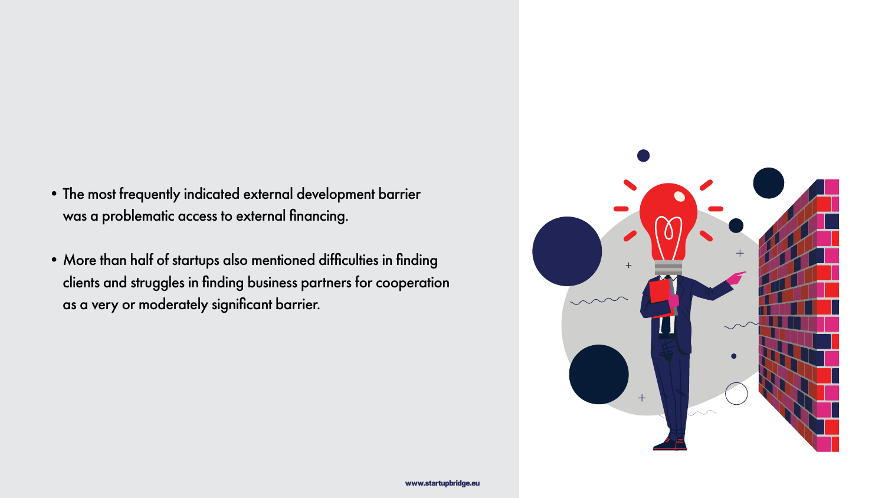

- •The most frequently indicated external development barrier was a problematic access to external financing.
- •More than half of startups also mentioned difficulties in finding clients and struggles in finding business partners for cooperation as a very or moderately significant barrier.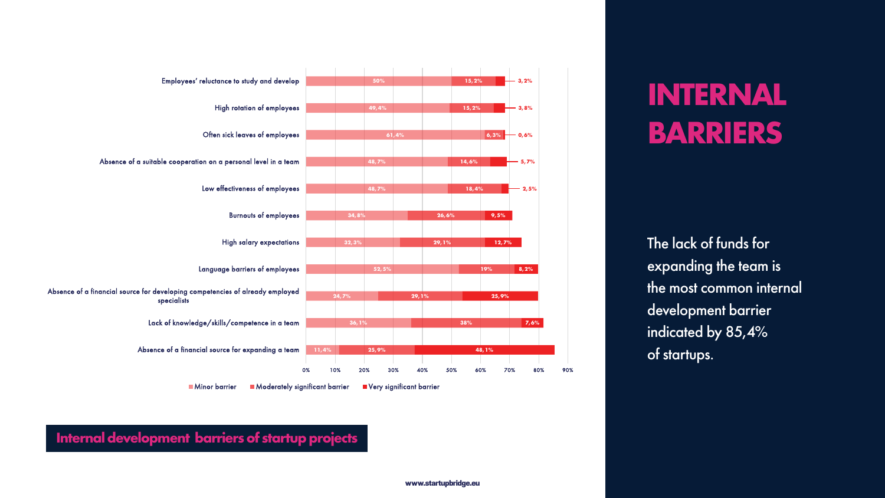

#### Absence of a financial source for developing competencies of already en specialists

Lack of knowledge/skills/competence in

Absence of a financial source for expanding

| es' reluctance to study and develop                    |       |       | 50%   |        |                         |
|--------------------------------------------------------|-------|-------|-------|--------|-------------------------|
|                                                        |       |       |       |        |                         |
| <b>High rotation of employees</b>                      |       |       | 49,4% |        |                         |
|                                                        |       |       |       |        |                         |
| Often sick leaves of employees                         |       |       |       | 61,4%  |                         |
|                                                        |       |       |       |        |                         |
| eration on a personal level in a team                  |       |       | 48,7% |        |                         |
| Low effectiveness of employees                         |       |       | 48,7% |        |                         |
|                                                        |       |       |       |        |                         |
| <b>Burnouts of employees</b>                           |       | 34,8% |       |        | $\overline{\mathbf{2}}$ |
|                                                        |       |       |       |        |                         |
| <b>High salary expectations</b>                        |       | 32,3% |       |        | 29                      |
|                                                        |       |       |       |        |                         |
| Language barriers of employees                         |       |       | 52,5% |        |                         |
| competencies of already employed<br>S                  |       |       |       |        |                         |
|                                                        |       | 24,7% |       | 29, 1% |                         |
| /ledge/skills/competence in a team                     |       | 36,1% |       |        |                         |
|                                                        |       |       |       |        |                         |
| iancial source for expanding a team                    | 11,4% |       | 25,9% |        |                         |
|                                                        | 0%    | 10%   | 20%   | 30%    | 40%                     |
| <b>Minor barrier</b><br>Moderately significant barrier |       |       |       |        |                         |
| Very significant barrier                               |       |       |       |        |                         |

#### Employees' reluctance to study and

Absence of a suitable cooperation on a personal level in

## **INTERNAL BARRIERS**

The lack of funds for expanding the team is the most common internal development barrier indicated by 85,4% of startups.

**Internal development barriers of startup projects**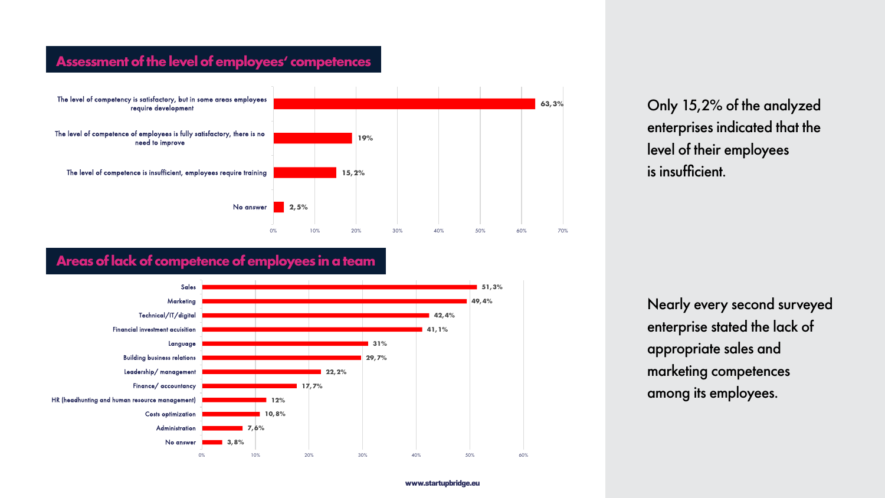#### www.startupbridge.eu



Only 15,2% of the analyzed enterprises indicated that the level of their employees is insufficient.

Nearly every second surveyed enterprise stated the lack of appropriate sales and marketing competences among its employees.

#### **Assessment of the level of employees' competences**

#### **Areas of lack of competence of employees in a team**





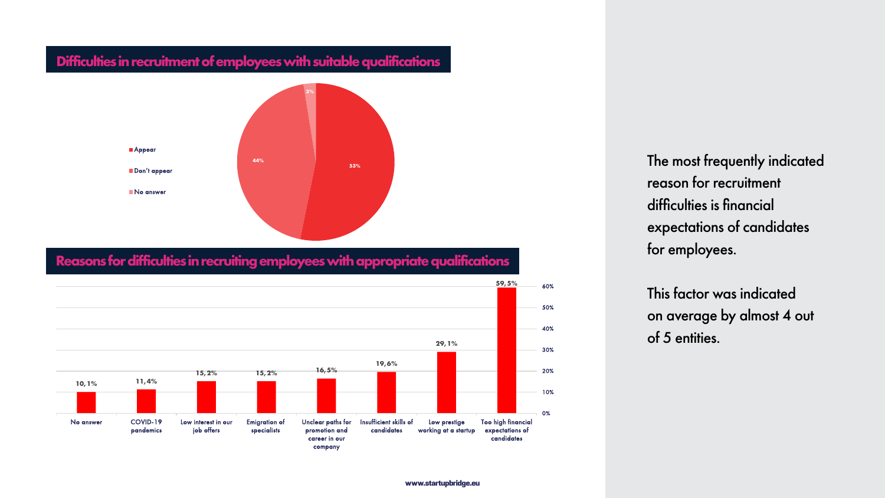The most frequently indicated reason for recruitment difficulties is financial expectations of candidates for employees.

This factor was indicated on average by almost 4 out of 5 entities.

#### **Difficulties in recruitment of employees with suitable qualifications**



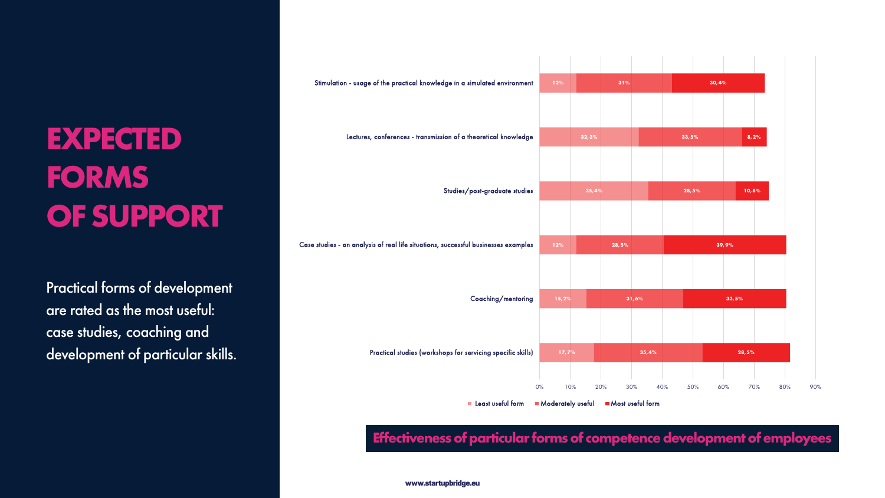

## **EXPECTED FORMS OF SUPPORT**

Practical forms of development are rated as the most useful: case studies, coaching and development of particular skills.



#### **Effectiveness of particular forms of competence development of employees**

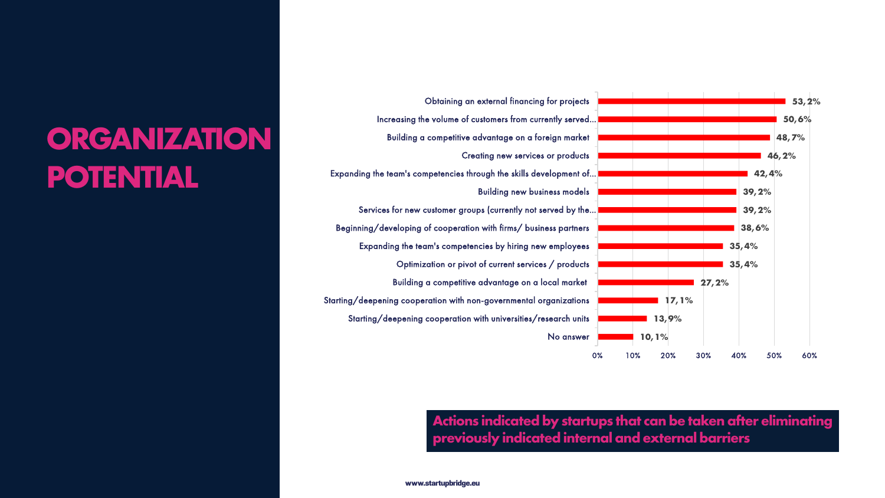

### **ORGANIZATION POTENTIAL**

**Actions indicated by startups that can be taken after eliminating previously indicated internal and external barriers** 



Increasing the volume of customers from currently served… Expanding the team's competencies through the skills development of… Services for new customer groups (currently not served by the...) Beginning/developing of cooperation with firms/ business partners Expanding the team's competencies by hiring new employees

Obtaining an external financing for projects Building a competitive advantage on a foreign market Creating new services or products Building new business models Optimization or pivot of current services / products Building a competitive advantage on a local market

Starting/deepening cooperation with non-governmental organizations

Starting/deepening cooperation with universities/research units

No answer